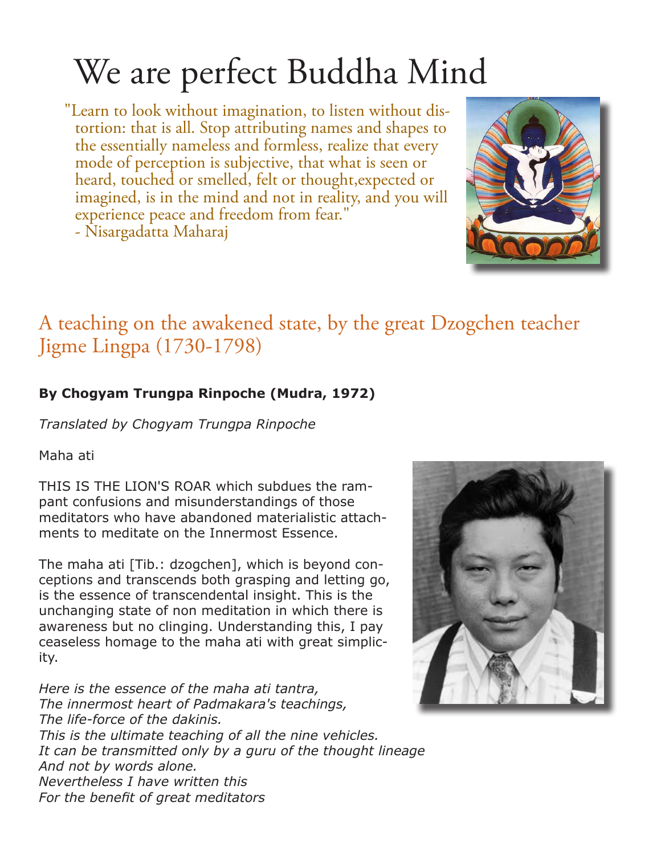## We are perfect Buddha Mind

"Learn to look without imagination, to listen without distortion: that is all. Stop attributing names and shapes to the essentially nameless and formless, realize that every mode of perception is subjective, that what is seen or heard, touched or smelled, felt or thought,expected or imagined, is in the mind and not in reality, and you will experience peace and freedom from fear."

- Nisargadatta Maharaj



## A teaching on the awakened state, by the great Dzogchen teacher Jigme Lingpa (1730-1798)

## **By Chogyam Trungpa Rinpoche (Mudra, 1972)**

*Translated by Chogyam Trungpa Rinpoche*

Maha ati

THIS IS THE LION'S ROAR which subdues the rampant confusions and misunderstandings of those meditators who have abandoned materialistic attachments to meditate on the Innermost Essence.

The maha ati [Tib.: dzogchen], which is beyond conceptions and transcends both grasping and letting go, is the essence of transcendental insight. This is the unchanging state of non meditation in which there is awareness but no clinging. Understanding this, I pay ceaseless homage to the maha ati with great simplicity.

*Here is the essence of the maha ati tantra, The innermost heart of Padmakara's teachings, The life-force of the dakinis. This is the ultimate teaching of all the nine vehicles. It can be transmitted only by a guru of the thought lineage And not by words alone. Nevertheless I have written this For the benefit of great meditators*

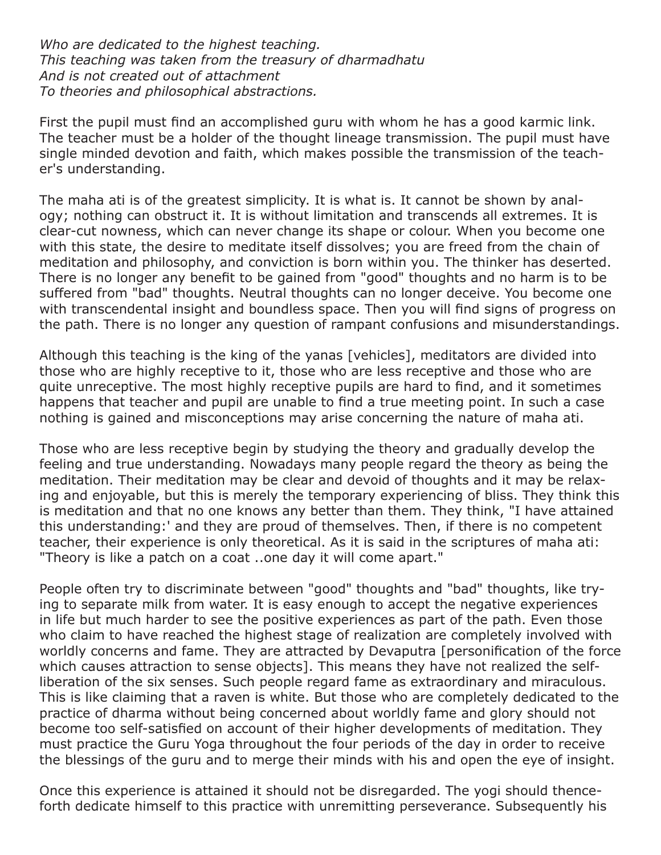*Who are dedicated to the highest teaching. This teaching was taken from the treasury of dharmadhatu And is not created out of attachment To theories and philosophical abstractions.*

First the pupil must find an accomplished guru with whom he has a good karmic link. The teacher must be a holder of the thought lineage transmission. The pupil must have single minded devotion and faith, which makes possible the transmission of the teacher's understanding.

The maha ati is of the greatest simplicity. It is what is. It cannot be shown by analogy; nothing can obstruct it. It is without limitation and transcends all extremes. It is clear-cut nowness, which can never change its shape or colour. When you become one with this state, the desire to meditate itself dissolves; you are freed from the chain of meditation and philosophy, and conviction is born within you. The thinker has deserted. There is no longer any benefit to be gained from "good" thoughts and no harm is to be suffered from "bad" thoughts. Neutral thoughts can no longer deceive. You become one with transcendental insight and boundless space. Then you will find signs of progress on the path. There is no longer any question of rampant confusions and misunderstandings.

Although this teaching is the king of the yanas [vehicles], meditators are divided into those who are highly receptive to it, those who are less receptive and those who are quite unreceptive. The most highly receptive pupils are hard to find, and it sometimes happens that teacher and pupil are unable to find a true meeting point. In such a case nothing is gained and misconceptions may arise concerning the nature of maha ati.

Those who are less receptive begin by studying the theory and gradually develop the feeling and true understanding. Nowadays many people regard the theory as being the meditation. Their meditation may be clear and devoid of thoughts and it may be relaxing and enjoyable, but this is merely the temporary experiencing of bliss. They think this is meditation and that no one knows any better than them. They think, "I have attained this understanding:' and they are proud of themselves. Then, if there is no competent teacher, their experience is only theoretical. As it is said in the scriptures of maha ati: "Theory is like a patch on a coat ..one day it will come apart."

People often try to discriminate between "good" thoughts and "bad" thoughts, like trying to separate milk from water. It is easy enough to accept the negative experiences in life but much harder to see the positive experiences as part of the path. Even those who claim to have reached the highest stage of realization are completely involved with worldly concerns and fame. They are attracted by Devaputra [personification of the force which causes attraction to sense objects]. This means they have not realized the selfliberation of the six senses. Such people regard fame as extraordinary and miraculous. This is like claiming that a raven is white. But those who are completely dedicated to the practice of dharma without being concerned about worldly fame and glory should not become too self-satisfied on account of their higher developments of meditation. They must practice the Guru Yoga throughout the four periods of the day in order to receive the blessings of the guru and to merge their minds with his and open the eye of insight.

Once this experience is attained it should not be disregarded. The yogi should thenceforth dedicate himself to this practice with unremitting perseverance. Subsequently his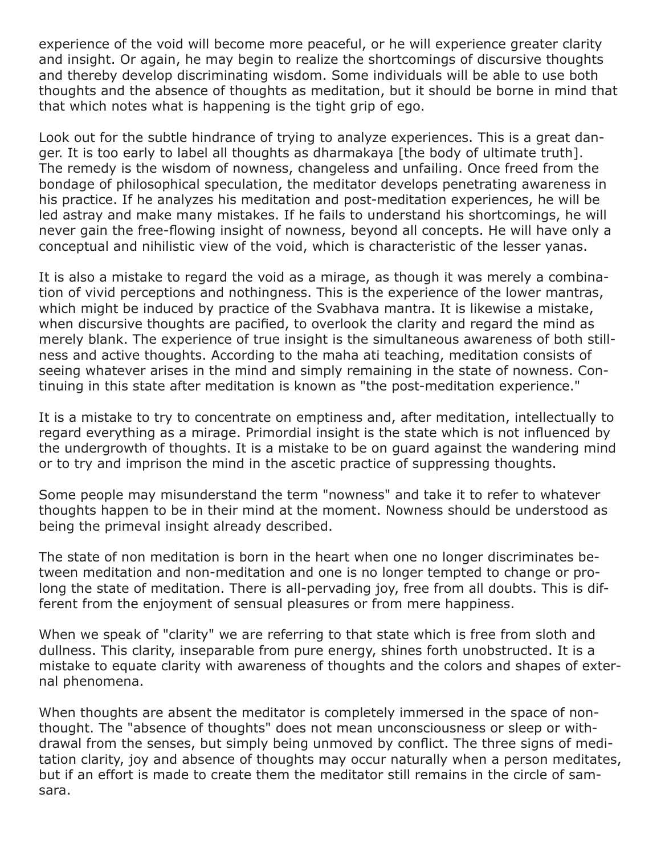experience of the void will become more peaceful, or he will experience greater clarity and insight. Or again, he may begin to realize the shortcomings of discursive thoughts and thereby develop discriminating wisdom. Some individuals will be able to use both thoughts and the absence of thoughts as meditation, but it should be borne in mind that that which notes what is happening is the tight grip of ego.

Look out for the subtle hindrance of trying to analyze experiences. This is a great danger. It is too early to label all thoughts as dharmakaya [the body of ultimate truth]. The remedy is the wisdom of nowness, changeless and unfailing. Once freed from the bondage of philosophical speculation, the meditator develops penetrating awareness in his practice. If he analyzes his meditation and post-meditation experiences, he will be led astray and make many mistakes. If he fails to understand his shortcomings, he will never gain the free-flowing insight of nowness, beyond all concepts. He will have only a conceptual and nihilistic view of the void, which is characteristic of the lesser yanas.

It is also a mistake to regard the void as a mirage, as though it was merely a combination of vivid perceptions and nothingness. This is the experience of the lower mantras, which might be induced by practice of the Svabhava mantra. It is likewise a mistake, when discursive thoughts are pacified, to overlook the clarity and regard the mind as merely blank. The experience of true insight is the simultaneous awareness of both stillness and active thoughts. According to the maha ati teaching, meditation consists of seeing whatever arises in the mind and simply remaining in the state of nowness. Continuing in this state after meditation is known as "the post-meditation experience."

It is a mistake to try to concentrate on emptiness and, after meditation, intellectually to regard everything as a mirage. Primordial insight is the state which is not influenced by the undergrowth of thoughts. It is a mistake to be on guard against the wandering mind or to try and imprison the mind in the ascetic practice of suppressing thoughts.

Some people may misunderstand the term "nowness" and take it to refer to whatever thoughts happen to be in their mind at the moment. Nowness should be understood as being the primeval insight already described.

The state of non meditation is born in the heart when one no longer discriminates between meditation and non-meditation and one is no longer tempted to change or prolong the state of meditation. There is all-pervading joy, free from all doubts. This is different from the enjoyment of sensual pleasures or from mere happiness.

When we speak of "clarity" we are referring to that state which is free from sloth and dullness. This clarity, inseparable from pure energy, shines forth unobstructed. It is a mistake to equate clarity with awareness of thoughts and the colors and shapes of external phenomena.

When thoughts are absent the meditator is completely immersed in the space of nonthought. The "absence of thoughts" does not mean unconsciousness or sleep or withdrawal from the senses, but simply being unmoved by conflict. The three signs of meditation clarity, joy and absence of thoughts may occur naturally when a person meditates, but if an effort is made to create them the meditator still remains in the circle of samsara.